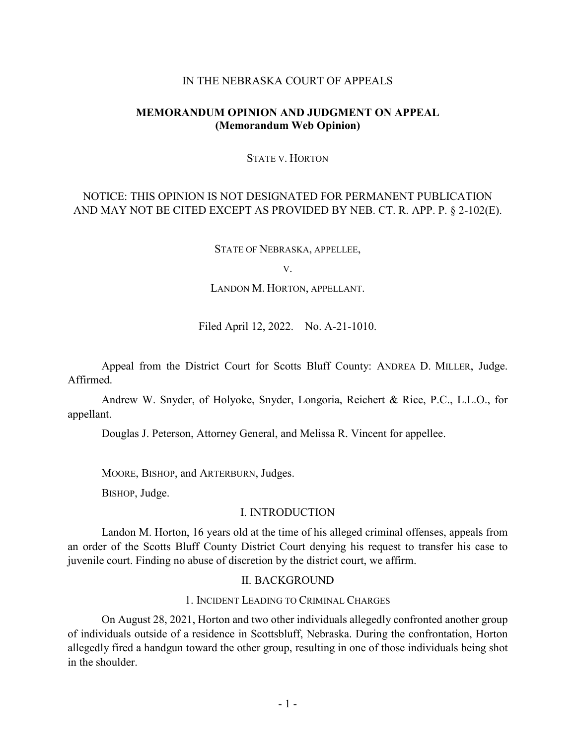#### IN THE NEBRASKA COURT OF APPEALS

## **MEMORANDUM OPINION AND JUDGMENT ON APPEAL (Memorandum Web Opinion)**

#### STATE V. HORTON

# NOTICE: THIS OPINION IS NOT DESIGNATED FOR PERMANENT PUBLICATION AND MAY NOT BE CITED EXCEPT AS PROVIDED BY NEB. CT. R. APP. P. § 2-102(E).

STATE OF NEBRASKA, APPELLEE,

V.

LANDON M. HORTON, APPELLANT.

Filed April 12, 2022. No. A-21-1010.

Appeal from the District Court for Scotts Bluff County: ANDREA D. MILLER, Judge. Affirmed.

Andrew W. Snyder, of Holyoke, Snyder, Longoria, Reichert & Rice, P.C., L.L.O., for appellant.

Douglas J. Peterson, Attorney General, and Melissa R. Vincent for appellee.

MOORE, BISHOP, and ARTERBURN, Judges.

BISHOP, Judge.

## I. INTRODUCTION

Landon M. Horton, 16 years old at the time of his alleged criminal offenses, appeals from an order of the Scotts Bluff County District Court denying his request to transfer his case to juvenile court. Finding no abuse of discretion by the district court, we affirm.

#### II. BACKGROUND

### 1. INCIDENT LEADING TO CRIMINAL CHARGES

On August 28, 2021, Horton and two other individuals allegedly confronted another group of individuals outside of a residence in Scottsbluff, Nebraska. During the confrontation, Horton allegedly fired a handgun toward the other group, resulting in one of those individuals being shot in the shoulder.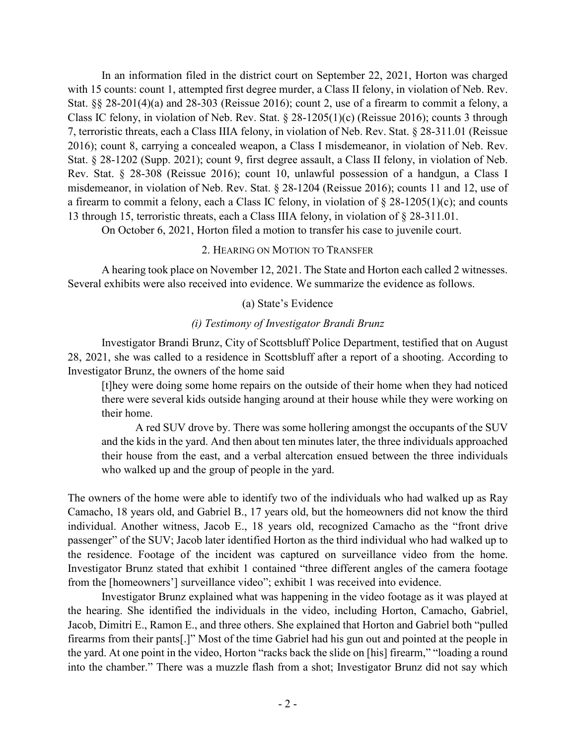In an information filed in the district court on September 22, 2021, Horton was charged with 15 counts: count 1, attempted first degree murder, a Class II felony, in violation of Neb. Rev. Stat. §§ 28-201(4)(a) and 28-303 (Reissue 2016); count 2, use of a firearm to commit a felony, a Class IC felony, in violation of Neb. Rev. Stat. § 28-1205(1)(c) (Reissue 2016); counts 3 through 7, terroristic threats, each a Class IIIA felony, in violation of Neb. Rev. Stat. § 28-311.01 (Reissue 2016); count 8, carrying a concealed weapon, a Class I misdemeanor, in violation of Neb. Rev. Stat. § 28-1202 (Supp. 2021); count 9, first degree assault, a Class II felony, in violation of Neb. Rev. Stat. § 28-308 (Reissue 2016); count 10, unlawful possession of a handgun, a Class I misdemeanor, in violation of Neb. Rev. Stat. § 28-1204 (Reissue 2016); counts 11 and 12, use of a firearm to commit a felony, each a Class IC felony, in violation of  $\S$  28-1205(1)(c); and counts 13 through 15, terroristic threats, each a Class IIIA felony, in violation of § 28-311.01.

On October 6, 2021, Horton filed a motion to transfer his case to juvenile court.

#### 2. HEARING ON MOTION TO TRANSFER

A hearing took place on November 12, 2021. The State and Horton each called 2 witnesses. Several exhibits were also received into evidence. We summarize the evidence as follows.

## (a) State's Evidence

## *(i) Testimony of Investigator Brandi Brunz*

Investigator Brandi Brunz, City of Scottsbluff Police Department, testified that on August 28, 2021, she was called to a residence in Scottsbluff after a report of a shooting. According to Investigator Brunz, the owners of the home said

[t]hey were doing some home repairs on the outside of their home when they had noticed there were several kids outside hanging around at their house while they were working on their home.

A red SUV drove by. There was some hollering amongst the occupants of the SUV and the kids in the yard. And then about ten minutes later, the three individuals approached their house from the east, and a verbal altercation ensued between the three individuals who walked up and the group of people in the yard.

The owners of the home were able to identify two of the individuals who had walked up as Ray Camacho, 18 years old, and Gabriel B., 17 years old, but the homeowners did not know the third individual. Another witness, Jacob E., 18 years old, recognized Camacho as the "front drive passenger" of the SUV; Jacob later identified Horton as the third individual who had walked up to the residence. Footage of the incident was captured on surveillance video from the home. Investigator Brunz stated that exhibit 1 contained "three different angles of the camera footage from the [homeowners'] surveillance video"; exhibit 1 was received into evidence.

Investigator Brunz explained what was happening in the video footage as it was played at the hearing. She identified the individuals in the video, including Horton, Camacho, Gabriel, Jacob, Dimitri E., Ramon E., and three others. She explained that Horton and Gabriel both "pulled firearms from their pants[.]" Most of the time Gabriel had his gun out and pointed at the people in the yard. At one point in the video, Horton "racks back the slide on [his] firearm," "loading a round into the chamber." There was a muzzle flash from a shot; Investigator Brunz did not say which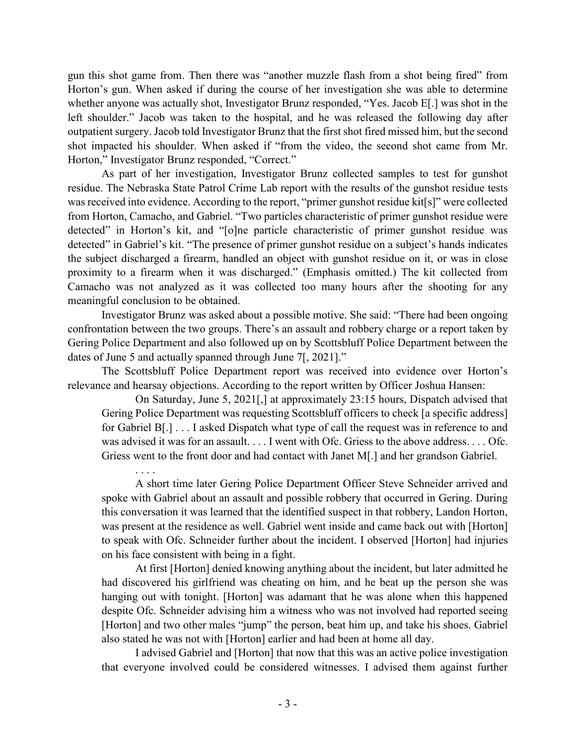gun this shot game from. Then there was "another muzzle flash from a shot being fired" from Horton's gun. When asked if during the course of her investigation she was able to determine whether anyone was actually shot, Investigator Brunz responded, "Yes. Jacob E[.] was shot in the left shoulder." Jacob was taken to the hospital, and he was released the following day after outpatient surgery. Jacob told Investigator Brunz that the first shot fired missed him, but the second shot impacted his shoulder. When asked if "from the video, the second shot came from Mr. Horton," Investigator Brunz responded, "Correct."

As part of her investigation, Investigator Brunz collected samples to test for gunshot residue. The Nebraska State Patrol Crime Lab report with the results of the gunshot residue tests was received into evidence. According to the report, "primer gunshot residue kit[s]" were collected from Horton, Camacho, and Gabriel. "Two particles characteristic of primer gunshot residue were detected" in Horton's kit, and "[o]ne particle characteristic of primer gunshot residue was detected" in Gabriel's kit. "The presence of primer gunshot residue on a subject's hands indicates the subject discharged a firearm, handled an object with gunshot residue on it, or was in close proximity to a firearm when it was discharged." (Emphasis omitted.) The kit collected from Camacho was not analyzed as it was collected too many hours after the shooting for any meaningful conclusion to be obtained.

Investigator Brunz was asked about a possible motive. She said: "There had been ongoing confrontation between the two groups. There's an assault and robbery charge or a report taken by Gering Police Department and also followed up on by Scottsbluff Police Department between the dates of June 5 and actually spanned through June 7[, 2021]."

The Scottsbluff Police Department report was received into evidence over Horton's relevance and hearsay objections. According to the report written by Officer Joshua Hansen:

. . . .

On Saturday, June 5, 2021[,] at approximately 23:15 hours, Dispatch advised that Gering Police Department was requesting Scottsbluff officers to check [a specific address] for Gabriel B[.] . . . I asked Dispatch what type of call the request was in reference to and was advised it was for an assault. . . . I went with Ofc. Griess to the above address. . . . Ofc. Griess went to the front door and had contact with Janet M[.] and her grandson Gabriel.

A short time later Gering Police Department Officer Steve Schneider arrived and spoke with Gabriel about an assault and possible robbery that occurred in Gering. During this conversation it was learned that the identified suspect in that robbery, Landon Horton, was present at the residence as well. Gabriel went inside and came back out with [Horton] to speak with Ofc. Schneider further about the incident. I observed [Horton] had injuries on his face consistent with being in a fight.

At first [Horton] denied knowing anything about the incident, but later admitted he had discovered his girlfriend was cheating on him, and he beat up the person she was hanging out with tonight. [Horton] was adamant that he was alone when this happened despite Ofc. Schneider advising him a witness who was not involved had reported seeing [Horton] and two other males "jump" the person, beat him up, and take his shoes. Gabriel also stated he was not with [Horton] earlier and had been at home all day.

I advised Gabriel and [Horton] that now that this was an active police investigation that everyone involved could be considered witnesses. I advised them against further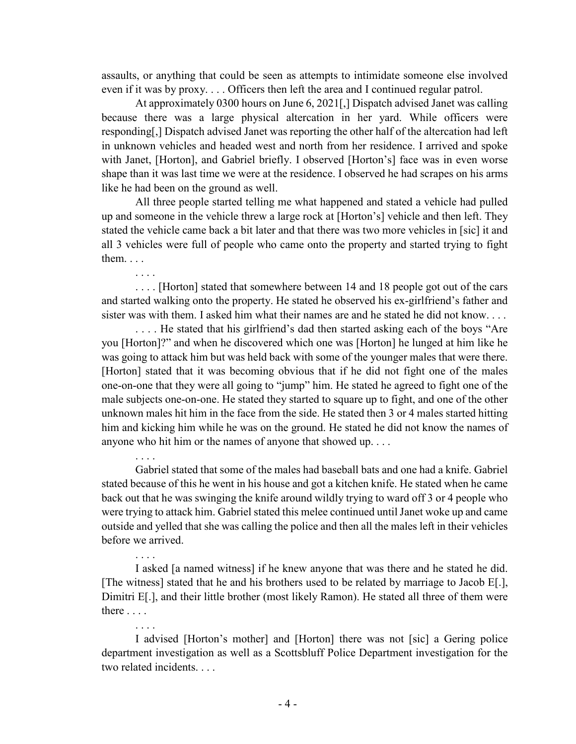assaults, or anything that could be seen as attempts to intimidate someone else involved even if it was by proxy. . . . Officers then left the area and I continued regular patrol.

At approximately 0300 hours on June 6, 2021[,] Dispatch advised Janet was calling because there was a large physical altercation in her yard. While officers were responding[,] Dispatch advised Janet was reporting the other half of the altercation had left in unknown vehicles and headed west and north from her residence. I arrived and spoke with Janet, [Horton], and Gabriel briefly. I observed [Horton's] face was in even worse shape than it was last time we were at the residence. I observed he had scrapes on his arms like he had been on the ground as well.

All three people started telling me what happened and stated a vehicle had pulled up and someone in the vehicle threw a large rock at [Horton's] vehicle and then left. They stated the vehicle came back a bit later and that there was two more vehicles in [sic] it and all 3 vehicles were full of people who came onto the property and started trying to fight them. . . .

. . . .

. . . .

. . . .

. . . .

. . . . [Horton] stated that somewhere between 14 and 18 people got out of the cars and started walking onto the property. He stated he observed his ex-girlfriend's father and sister was with them. I asked him what their names are and he stated he did not know. . . .

. . . . He stated that his girlfriend's dad then started asking each of the boys "Are you [Horton]?" and when he discovered which one was [Horton] he lunged at him like he was going to attack him but was held back with some of the younger males that were there. [Horton] stated that it was becoming obvious that if he did not fight one of the males one-on-one that they were all going to "jump" him. He stated he agreed to fight one of the male subjects one-on-one. He stated they started to square up to fight, and one of the other unknown males hit him in the face from the side. He stated then 3 or 4 males started hitting him and kicking him while he was on the ground. He stated he did not know the names of anyone who hit him or the names of anyone that showed up. . . .

Gabriel stated that some of the males had baseball bats and one had a knife. Gabriel stated because of this he went in his house and got a kitchen knife. He stated when he came back out that he was swinging the knife around wildly trying to ward off 3 or 4 people who were trying to attack him. Gabriel stated this melee continued until Janet woke up and came outside and yelled that she was calling the police and then all the males left in their vehicles before we arrived.

I asked [a named witness] if he knew anyone that was there and he stated he did. [The witness] stated that he and his brothers used to be related by marriage to Jacob E[.], Dimitri E[.], and their little brother (most likely Ramon). He stated all three of them were there . . . .

I advised [Horton's mother] and [Horton] there was not [sic] a Gering police department investigation as well as a Scottsbluff Police Department investigation for the two related incidents. . . .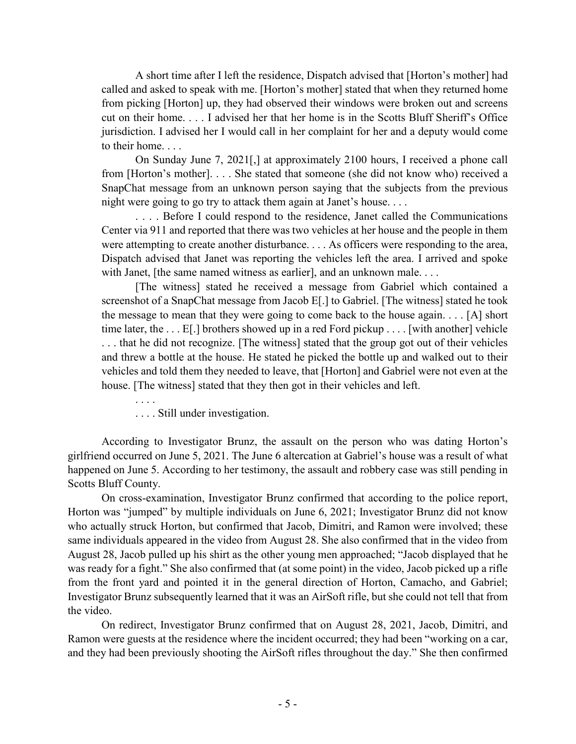A short time after I left the residence, Dispatch advised that [Horton's mother] had called and asked to speak with me. [Horton's mother] stated that when they returned home from picking [Horton] up, they had observed their windows were broken out and screens cut on their home. . . . I advised her that her home is in the Scotts Bluff Sheriff's Office jurisdiction. I advised her I would call in her complaint for her and a deputy would come to their home. . . .

On Sunday June 7, 2021[,] at approximately 2100 hours, I received a phone call from [Horton's mother]. . . . She stated that someone (she did not know who) received a SnapChat message from an unknown person saying that the subjects from the previous night were going to go try to attack them again at Janet's house. . . .

. . . . Before I could respond to the residence, Janet called the Communications Center via 911 and reported that there was two vehicles at her house and the people in them were attempting to create another disturbance. . . . As officers were responding to the area, Dispatch advised that Janet was reporting the vehicles left the area. I arrived and spoke with Janet, [the same named witness as earlier], and an unknown male. . . .

[The witness] stated he received a message from Gabriel which contained a screenshot of a SnapChat message from Jacob E[.] to Gabriel. [The witness] stated he took the message to mean that they were going to come back to the house again. . . . [A] short time later, the . . . E[.] brothers showed up in a red Ford pickup . . . . [with another] vehicle . . . that he did not recognize. [The witness] stated that the group got out of their vehicles and threw a bottle at the house. He stated he picked the bottle up and walked out to their vehicles and told them they needed to leave, that [Horton] and Gabriel were not even at the house. [The witness] stated that they then got in their vehicles and left.

. . . . Still under investigation.

. . . .

According to Investigator Brunz, the assault on the person who was dating Horton's girlfriend occurred on June 5, 2021. The June 6 altercation at Gabriel's house was a result of what happened on June 5. According to her testimony, the assault and robbery case was still pending in Scotts Bluff County.

On cross-examination, Investigator Brunz confirmed that according to the police report, Horton was "jumped" by multiple individuals on June 6, 2021; Investigator Brunz did not know who actually struck Horton, but confirmed that Jacob, Dimitri, and Ramon were involved; these same individuals appeared in the video from August 28. She also confirmed that in the video from August 28, Jacob pulled up his shirt as the other young men approached; "Jacob displayed that he was ready for a fight." She also confirmed that (at some point) in the video, Jacob picked up a rifle from the front yard and pointed it in the general direction of Horton, Camacho, and Gabriel; Investigator Brunz subsequently learned that it was an AirSoft rifle, but she could not tell that from the video.

On redirect, Investigator Brunz confirmed that on August 28, 2021, Jacob, Dimitri, and Ramon were guests at the residence where the incident occurred; they had been "working on a car, and they had been previously shooting the AirSoft rifles throughout the day." She then confirmed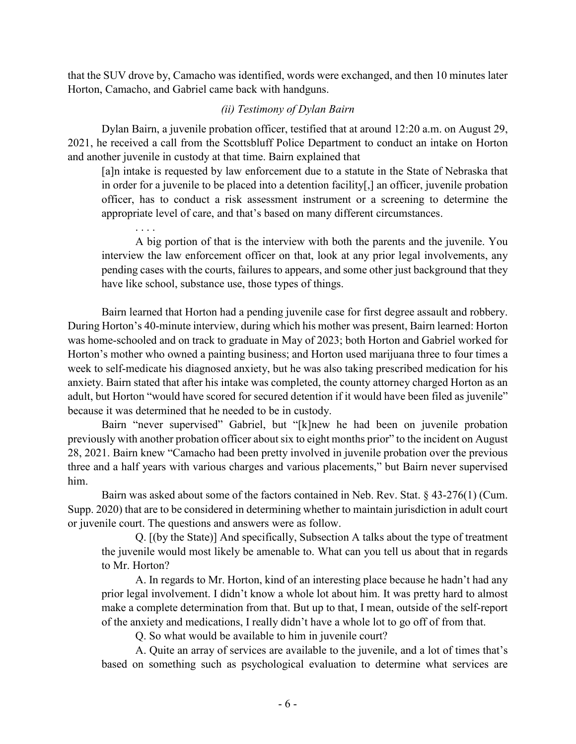that the SUV drove by, Camacho was identified, words were exchanged, and then 10 minutes later Horton, Camacho, and Gabriel came back with handguns.

### *(ii) Testimony of Dylan Bairn*

Dylan Bairn, a juvenile probation officer, testified that at around 12:20 a.m. on August 29, 2021, he received a call from the Scottsbluff Police Department to conduct an intake on Horton and another juvenile in custody at that time. Bairn explained that

[a]n intake is requested by law enforcement due to a statute in the State of Nebraska that in order for a juvenile to be placed into a detention facility[,] an officer, juvenile probation officer, has to conduct a risk assessment instrument or a screening to determine the appropriate level of care, and that's based on many different circumstances.

. . . . A big portion of that is the interview with both the parents and the juvenile. You interview the law enforcement officer on that, look at any prior legal involvements, any pending cases with the courts, failures to appears, and some other just background that they have like school, substance use, those types of things.

Bairn learned that Horton had a pending juvenile case for first degree assault and robbery. During Horton's 40-minute interview, during which his mother was present, Bairn learned: Horton was home-schooled and on track to graduate in May of 2023; both Horton and Gabriel worked for Horton's mother who owned a painting business; and Horton used marijuana three to four times a week to self-medicate his diagnosed anxiety, but he was also taking prescribed medication for his anxiety. Bairn stated that after his intake was completed, the county attorney charged Horton as an adult, but Horton "would have scored for secured detention if it would have been filed as juvenile" because it was determined that he needed to be in custody.

Bairn "never supervised" Gabriel, but "[k]new he had been on juvenile probation previously with another probation officer about six to eight months prior" to the incident on August 28, 2021. Bairn knew "Camacho had been pretty involved in juvenile probation over the previous three and a half years with various charges and various placements," but Bairn never supervised him.

Bairn was asked about some of the factors contained in Neb. Rev. Stat. § 43-276(1) (Cum. Supp. 2020) that are to be considered in determining whether to maintain jurisdiction in adult court or juvenile court. The questions and answers were as follow.

Q. [(by the State)] And specifically, Subsection A talks about the type of treatment the juvenile would most likely be amenable to. What can you tell us about that in regards to Mr. Horton?

A. In regards to Mr. Horton, kind of an interesting place because he hadn't had any prior legal involvement. I didn't know a whole lot about him. It was pretty hard to almost make a complete determination from that. But up to that, I mean, outside of the self-report of the anxiety and medications, I really didn't have a whole lot to go off of from that.

Q. So what would be available to him in juvenile court?

A. Quite an array of services are available to the juvenile, and a lot of times that's based on something such as psychological evaluation to determine what services are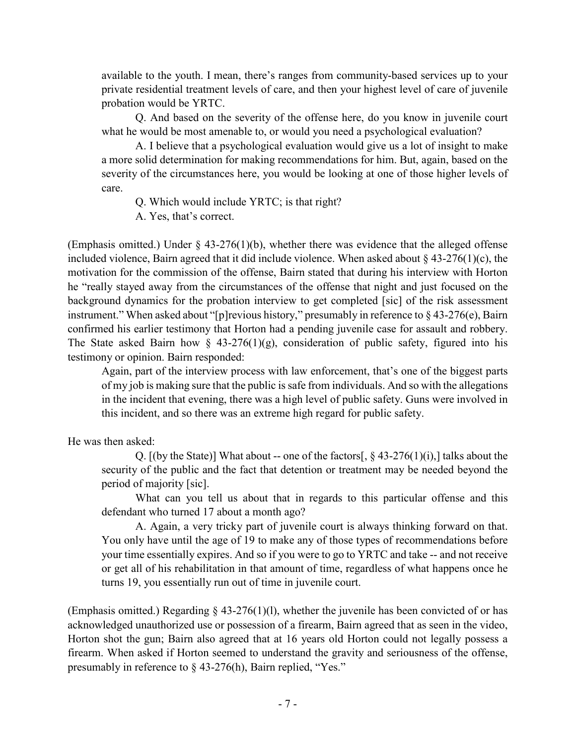available to the youth. I mean, there's ranges from community-based services up to your private residential treatment levels of care, and then your highest level of care of juvenile probation would be YRTC.

Q. And based on the severity of the offense here, do you know in juvenile court what he would be most amenable to, or would you need a psychological evaluation?

A. I believe that a psychological evaluation would give us a lot of insight to make a more solid determination for making recommendations for him. But, again, based on the severity of the circumstances here, you would be looking at one of those higher levels of care.

Q. Which would include YRTC; is that right?

A. Yes, that's correct.

(Emphasis omitted.) Under  $\S$  43-276(1)(b), whether there was evidence that the alleged offense included violence, Bairn agreed that it did include violence. When asked about § 43-276(1)(c), the motivation for the commission of the offense, Bairn stated that during his interview with Horton he "really stayed away from the circumstances of the offense that night and just focused on the background dynamics for the probation interview to get completed [sic] of the risk assessment instrument." When asked about "[p]revious history," presumably in reference to § 43-276(e), Bairn confirmed his earlier testimony that Horton had a pending juvenile case for assault and robbery. The State asked Bairn how  $\S$  43-276(1)(g), consideration of public safety, figured into his testimony or opinion. Bairn responded:

Again, part of the interview process with law enforcement, that's one of the biggest parts of my job is making sure that the public is safe from individuals. And so with the allegations in the incident that evening, there was a high level of public safety. Guns were involved in this incident, and so there was an extreme high regard for public safety.

He was then asked:

Q.  $[(by the State)]$  What about -- one of the factors $[0, 8, 43-276(1)(i))]$  talks about the security of the public and the fact that detention or treatment may be needed beyond the period of majority [sic].

What can you tell us about that in regards to this particular offense and this defendant who turned 17 about a month ago?

A. Again, a very tricky part of juvenile court is always thinking forward on that. You only have until the age of 19 to make any of those types of recommendations before your time essentially expires. And so if you were to go to YRTC and take -- and not receive or get all of his rehabilitation in that amount of time, regardless of what happens once he turns 19, you essentially run out of time in juvenile court.

(Emphasis omitted.) Regarding  $\S$  43-276(1)(1), whether the juvenile has been convicted of or has acknowledged unauthorized use or possession of a firearm, Bairn agreed that as seen in the video, Horton shot the gun; Bairn also agreed that at 16 years old Horton could not legally possess a firearm. When asked if Horton seemed to understand the gravity and seriousness of the offense, presumably in reference to § 43-276(h), Bairn replied, "Yes."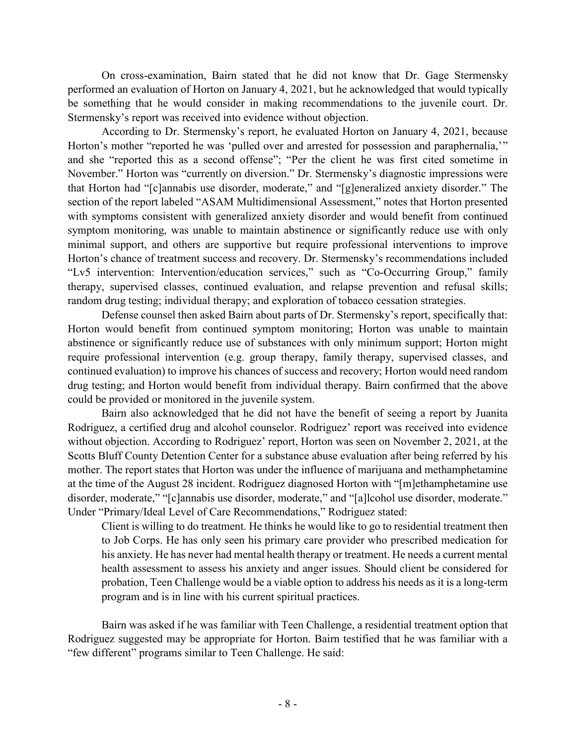On cross-examination, Bairn stated that he did not know that Dr. Gage Stermensky performed an evaluation of Horton on January 4, 2021, but he acknowledged that would typically be something that he would consider in making recommendations to the juvenile court. Dr. Stermensky's report was received into evidence without objection.

According to Dr. Stermensky's report, he evaluated Horton on January 4, 2021, because Horton's mother "reported he was 'pulled over and arrested for possession and paraphernalia,'" and she "reported this as a second offense"; "Per the client he was first cited sometime in November." Horton was "currently on diversion." Dr. Stermensky's diagnostic impressions were that Horton had "[c]annabis use disorder, moderate," and "[g]eneralized anxiety disorder." The section of the report labeled "ASAM Multidimensional Assessment," notes that Horton presented with symptoms consistent with generalized anxiety disorder and would benefit from continued symptom monitoring, was unable to maintain abstinence or significantly reduce use with only minimal support, and others are supportive but require professional interventions to improve Horton's chance of treatment success and recovery. Dr. Stermensky's recommendations included "Lv5 intervention: Intervention/education services," such as "Co-Occurring Group," family therapy, supervised classes, continued evaluation, and relapse prevention and refusal skills; random drug testing; individual therapy; and exploration of tobacco cessation strategies.

Defense counsel then asked Bairn about parts of Dr. Stermensky's report, specifically that: Horton would benefit from continued symptom monitoring; Horton was unable to maintain abstinence or significantly reduce use of substances with only minimum support; Horton might require professional intervention (e.g. group therapy, family therapy, supervised classes, and continued evaluation) to improve his chances of success and recovery; Horton would need random drug testing; and Horton would benefit from individual therapy. Bairn confirmed that the above could be provided or monitored in the juvenile system.

Bairn also acknowledged that he did not have the benefit of seeing a report by Juanita Rodriguez, a certified drug and alcohol counselor. Rodriguez' report was received into evidence without objection. According to Rodriguez' report, Horton was seen on November 2, 2021, at the Scotts Bluff County Detention Center for a substance abuse evaluation after being referred by his mother. The report states that Horton was under the influence of marijuana and methamphetamine at the time of the August 28 incident. Rodriguez diagnosed Horton with "[m]ethamphetamine use disorder, moderate," "[c]annabis use disorder, moderate," and "[a]lcohol use disorder, moderate." Under "Primary/Ideal Level of Care Recommendations," Rodriguez stated:

Client is willing to do treatment. He thinks he would like to go to residential treatment then to Job Corps. He has only seen his primary care provider who prescribed medication for his anxiety. He has never had mental health therapy or treatment. He needs a current mental health assessment to assess his anxiety and anger issues. Should client be considered for probation, Teen Challenge would be a viable option to address his needs as it is a long-term program and is in line with his current spiritual practices.

Bairn was asked if he was familiar with Teen Challenge, a residential treatment option that Rodriguez suggested may be appropriate for Horton. Bairn testified that he was familiar with a "few different" programs similar to Teen Challenge. He said: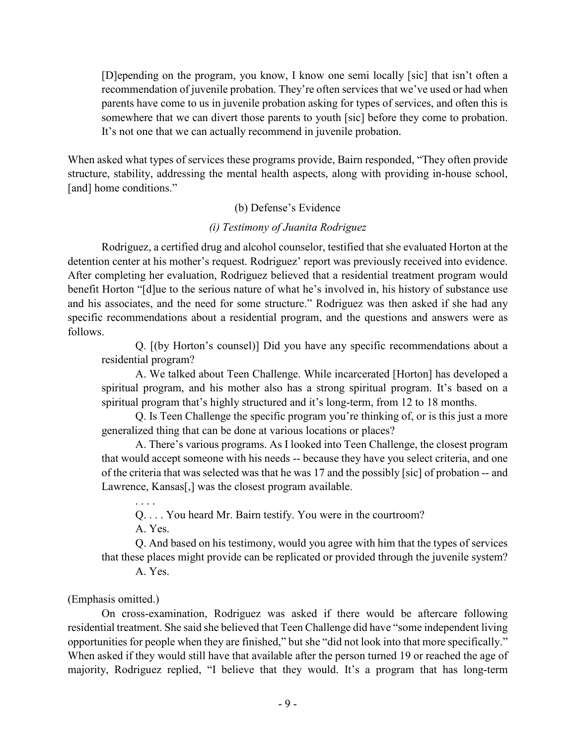[D]epending on the program, you know, I know one semi locally [sic] that isn't often a recommendation of juvenile probation. They're often services that we've used or had when parents have come to us in juvenile probation asking for types of services, and often this is somewhere that we can divert those parents to youth [sic] before they come to probation. It's not one that we can actually recommend in juvenile probation.

When asked what types of services these programs provide, Bairn responded, "They often provide structure, stability, addressing the mental health aspects, along with providing in-house school, [and] home conditions."

# (b) Defense's Evidence

# *(i) Testimony of Juanita Rodriguez*

Rodriguez, a certified drug and alcohol counselor, testified that she evaluated Horton at the detention center at his mother's request. Rodriguez' report was previously received into evidence. After completing her evaluation, Rodriguez believed that a residential treatment program would benefit Horton "[d]ue to the serious nature of what he's involved in, his history of substance use and his associates, and the need for some structure." Rodriguez was then asked if she had any specific recommendations about a residential program, and the questions and answers were as follows.

Q. [(by Horton's counsel)] Did you have any specific recommendations about a residential program?

A. We talked about Teen Challenge. While incarcerated [Horton] has developed a spiritual program, and his mother also has a strong spiritual program. It's based on a spiritual program that's highly structured and it's long-term, from 12 to 18 months.

Q. Is Teen Challenge the specific program you're thinking of, or is this just a more generalized thing that can be done at various locations or places?

A. There's various programs. As I looked into Teen Challenge, the closest program that would accept someone with his needs -- because they have you select criteria, and one of the criteria that was selected was that he was 17 and the possibly [sic] of probation -- and Lawrence, Kansas[,] was the closest program available.

. . . . Q. . . . You heard Mr. Bairn testify. You were in the courtroom?

A. Yes.

Q. And based on his testimony, would you agree with him that the types of services that these places might provide can be replicated or provided through the juvenile system?

A. Yes.

(Emphasis omitted.)

On cross-examination, Rodriguez was asked if there would be aftercare following residential treatment. She said she believed that Teen Challenge did have "some independent living opportunities for people when they are finished," but she "did not look into that more specifically." When asked if they would still have that available after the person turned 19 or reached the age of majority, Rodriguez replied, "I believe that they would. It's a program that has long-term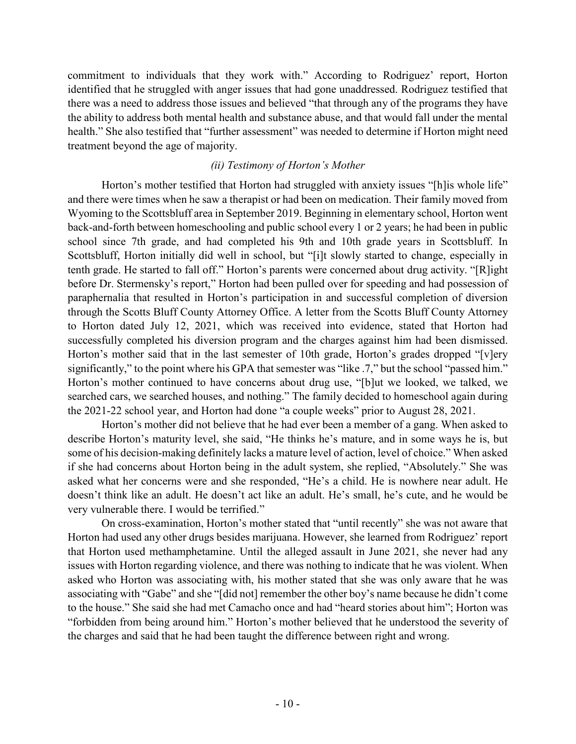commitment to individuals that they work with." According to Rodriguez' report, Horton identified that he struggled with anger issues that had gone unaddressed. Rodriguez testified that there was a need to address those issues and believed "that through any of the programs they have the ability to address both mental health and substance abuse, and that would fall under the mental health." She also testified that "further assessment" was needed to determine if Horton might need treatment beyond the age of majority.

# *(ii) Testimony of Horton's Mother*

Horton's mother testified that Horton had struggled with anxiety issues "[h]is whole life" and there were times when he saw a therapist or had been on medication. Their family moved from Wyoming to the Scottsbluff area in September 2019. Beginning in elementary school, Horton went back-and-forth between homeschooling and public school every 1 or 2 years; he had been in public school since 7th grade, and had completed his 9th and 10th grade years in Scottsbluff. In Scottsbluff, Horton initially did well in school, but "[i]t slowly started to change, especially in tenth grade. He started to fall off." Horton's parents were concerned about drug activity. "[R]ight before Dr. Stermensky's report," Horton had been pulled over for speeding and had possession of paraphernalia that resulted in Horton's participation in and successful completion of diversion through the Scotts Bluff County Attorney Office. A letter from the Scotts Bluff County Attorney to Horton dated July 12, 2021, which was received into evidence, stated that Horton had successfully completed his diversion program and the charges against him had been dismissed. Horton's mother said that in the last semester of 10th grade, Horton's grades dropped "[v]ery significantly," to the point where his GPA that semester was "like .7," but the school "passed him." Horton's mother continued to have concerns about drug use, "[b]ut we looked, we talked, we searched cars, we searched houses, and nothing." The family decided to homeschool again during the 2021-22 school year, and Horton had done "a couple weeks" prior to August 28, 2021.

Horton's mother did not believe that he had ever been a member of a gang. When asked to describe Horton's maturity level, she said, "He thinks he's mature, and in some ways he is, but some of his decision-making definitely lacks a mature level of action, level of choice." When asked if she had concerns about Horton being in the adult system, she replied, "Absolutely." She was asked what her concerns were and she responded, "He's a child. He is nowhere near adult. He doesn't think like an adult. He doesn't act like an adult. He's small, he's cute, and he would be very vulnerable there. I would be terrified."

On cross-examination, Horton's mother stated that "until recently" she was not aware that Horton had used any other drugs besides marijuana. However, she learned from Rodriguez' report that Horton used methamphetamine. Until the alleged assault in June 2021, she never had any issues with Horton regarding violence, and there was nothing to indicate that he was violent. When asked who Horton was associating with, his mother stated that she was only aware that he was associating with "Gabe" and she "[did not] remember the other boy's name because he didn't come to the house." She said she had met Camacho once and had "heard stories about him"; Horton was "forbidden from being around him." Horton's mother believed that he understood the severity of the charges and said that he had been taught the difference between right and wrong.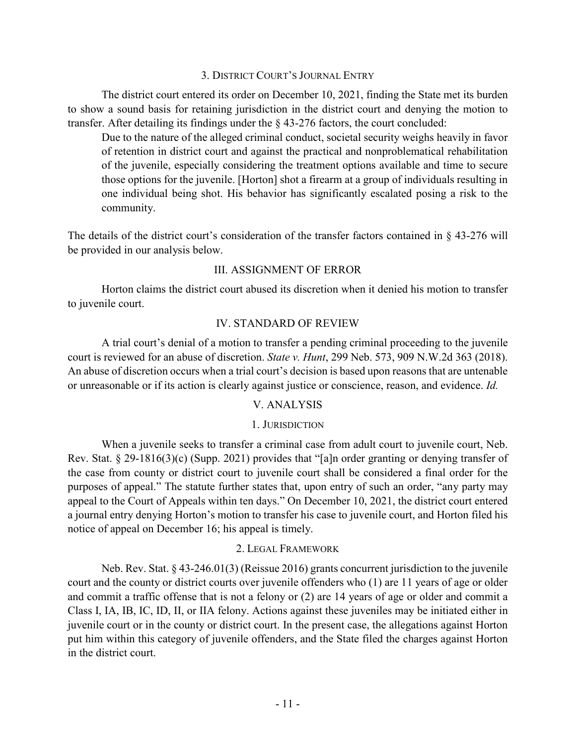#### 3. DISTRICT COURT'S JOURNAL ENTRY

The district court entered its order on December 10, 2021, finding the State met its burden to show a sound basis for retaining jurisdiction in the district court and denying the motion to transfer. After detailing its findings under the § 43-276 factors, the court concluded:

Due to the nature of the alleged criminal conduct, societal security weighs heavily in favor of retention in district court and against the practical and nonproblematical rehabilitation of the juvenile, especially considering the treatment options available and time to secure those options for the juvenile. [Horton] shot a firearm at a group of individuals resulting in one individual being shot. His behavior has significantly escalated posing a risk to the community.

The details of the district court's consideration of the transfer factors contained in § 43-276 will be provided in our analysis below.

## III. ASSIGNMENT OF ERROR

Horton claims the district court abused its discretion when it denied his motion to transfer to juvenile court.

# IV. STANDARD OF REVIEW

A trial court's denial of a motion to transfer a pending criminal proceeding to the juvenile court is reviewed for an abuse of discretion. *State v. Hunt*, 299 Neb. 573, 909 N.W.2d 363 (2018). An abuse of discretion occurs when a trial court's decision is based upon reasons that are untenable or unreasonable or if its action is clearly against justice or conscience, reason, and evidence. *Id.*

## V. ANALYSIS

## 1. JURISDICTION

When a juvenile seeks to transfer a criminal case from adult court to juvenile court, Neb. Rev. Stat. § 29-1816(3)(c) (Supp. 2021) provides that "[a]n order granting or denying transfer of the case from county or district court to juvenile court shall be considered a final order for the purposes of appeal." The statute further states that, upon entry of such an order, "any party may appeal to the Court of Appeals within ten days." On December 10, 2021, the district court entered a journal entry denying Horton's motion to transfer his case to juvenile court, and Horton filed his notice of appeal on December 16; his appeal is timely.

## 2. LEGAL FRAMEWORK

Neb. Rev. Stat. § 43-246.01(3) (Reissue 2016) grants concurrent jurisdiction to the juvenile court and the county or district courts over juvenile offenders who (1) are 11 years of age or older and commit a traffic offense that is not a felony or (2) are 14 years of age or older and commit a Class I, IA, IB, IC, ID, II, or IIA felony. Actions against these juveniles may be initiated either in juvenile court or in the county or district court. In the present case, the allegations against Horton put him within this category of juvenile offenders, and the State filed the charges against Horton in the district court.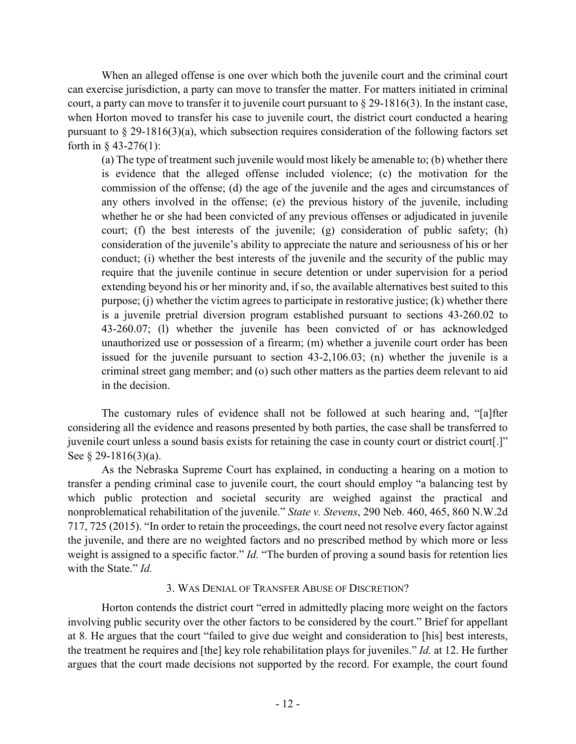When an alleged offense is one over which both the juvenile court and the criminal court can exercise jurisdiction, a party can move to transfer the matter. For matters initiated in criminal court, a party can move to transfer it to juvenile court pursuant to § 29-1816(3). In the instant case, when Horton moved to transfer his case to juvenile court, the district court conducted a hearing pursuant to § 29-1816(3)(a), which subsection requires consideration of the following factors set forth in § 43-276(1):

(a) The type of treatment such juvenile would most likely be amenable to; (b) whether there is evidence that the alleged offense included violence; (c) the motivation for the commission of the offense; (d) the age of the juvenile and the ages and circumstances of any others involved in the offense; (e) the previous history of the juvenile, including whether he or she had been convicted of any previous offenses or adjudicated in juvenile court; (f) the best interests of the juvenile; (g) consideration of public safety; (h) consideration of the juvenile's ability to appreciate the nature and seriousness of his or her conduct; (i) whether the best interests of the juvenile and the security of the public may require that the juvenile continue in secure detention or under supervision for a period extending beyond his or her minority and, if so, the available alternatives best suited to this purpose; (j) whether the victim agrees to participate in restorative justice; (k) whether there is a juvenile pretrial diversion program established pursuant to sections 43-260.02 to 43-260.07; (l) whether the juvenile has been convicted of or has acknowledged unauthorized use or possession of a firearm; (m) whether a juvenile court order has been issued for the juvenile pursuant to section 43-2,106.03; (n) whether the juvenile is a criminal street gang member; and (o) such other matters as the parties deem relevant to aid in the decision.

The customary rules of evidence shall not be followed at such hearing and, "[a]fter considering all the evidence and reasons presented by both parties, the case shall be transferred to juvenile court unless a sound basis exists for retaining the case in county court or district court[.]" See § 29-1816(3)(a).

As the Nebraska Supreme Court has explained, in conducting a hearing on a motion to transfer a pending criminal case to juvenile court, the court should employ "a balancing test by which public protection and societal security are weighed against the practical and nonproblematical rehabilitation of the juvenile." *State v. Stevens*, 290 Neb. 460, 465, 860 N.W.2d 717, 725 (2015). "In order to retain the proceedings, the court need not resolve every factor against the juvenile, and there are no weighted factors and no prescribed method by which more or less weight is assigned to a specific factor." *Id.* "The burden of proving a sound basis for retention lies with the State." *Id.*

## 3. WAS DENIAL OF TRANSFER ABUSE OF DISCRETION?

Horton contends the district court "erred in admittedly placing more weight on the factors involving public security over the other factors to be considered by the court." Brief for appellant at 8. He argues that the court "failed to give due weight and consideration to [his] best interests, the treatment he requires and [the] key role rehabilitation plays for juveniles." *Id.* at 12. He further argues that the court made decisions not supported by the record. For example, the court found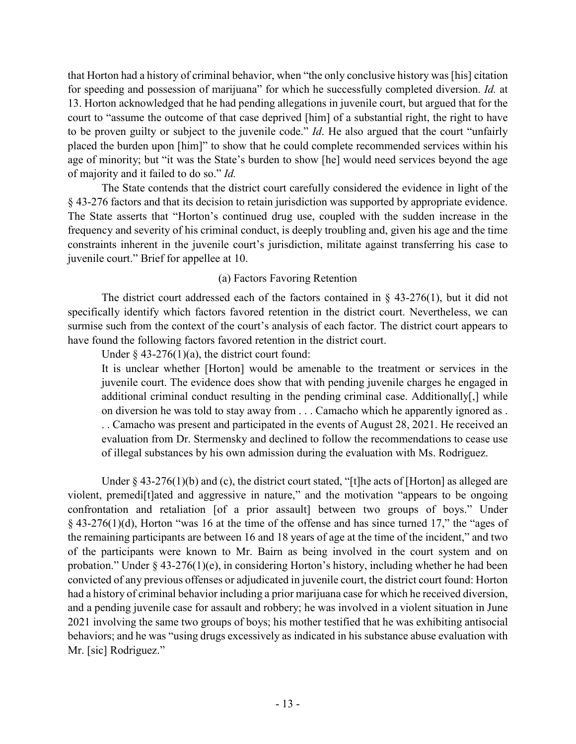that Horton had a history of criminal behavior, when "the only conclusive history was [his] citation for speeding and possession of marijuana" for which he successfully completed diversion. *Id.* at 13. Horton acknowledged that he had pending allegations in juvenile court, but argued that for the court to "assume the outcome of that case deprived [him] of a substantial right, the right to have to be proven guilty or subject to the juvenile code." *Id*. He also argued that the court "unfairly placed the burden upon [him]" to show that he could complete recommended services within his age of minority; but "it was the State's burden to show [he] would need services beyond the age of majority and it failed to do so." *Id.*

The State contends that the district court carefully considered the evidence in light of the § 43-276 factors and that its decision to retain jurisdiction was supported by appropriate evidence. The State asserts that "Horton's continued drug use, coupled with the sudden increase in the frequency and severity of his criminal conduct, is deeply troubling and, given his age and the time constraints inherent in the juvenile court's jurisdiction, militate against transferring his case to juvenile court." Brief for appellee at 10.

# (a) Factors Favoring Retention

The district court addressed each of the factors contained in  $\S$  43-276(1), but it did not specifically identify which factors favored retention in the district court. Nevertheless, we can surmise such from the context of the court's analysis of each factor. The district court appears to have found the following factors favored retention in the district court.

Under  $\S$  43-276(1)(a), the district court found:

It is unclear whether [Horton] would be amenable to the treatment or services in the juvenile court. The evidence does show that with pending juvenile charges he engaged in additional criminal conduct resulting in the pending criminal case. Additionally[,] while on diversion he was told to stay away from . . . Camacho which he apparently ignored as . . . Camacho was present and participated in the events of August 28, 2021. He received an evaluation from Dr. Stermensky and declined to follow the recommendations to cease use of illegal substances by his own admission during the evaluation with Ms. Rodriguez.

Under § 43-276(1)(b) and (c), the district court stated, "[t]he acts of [Horton] as alleged are violent, premedi[t]ated and aggressive in nature," and the motivation "appears to be ongoing confrontation and retaliation [of a prior assault] between two groups of boys." Under § 43-276(1)(d), Horton "was 16 at the time of the offense and has since turned 17," the "ages of the remaining participants are between 16 and 18 years of age at the time of the incident," and two of the participants were known to Mr. Bairn as being involved in the court system and on probation." Under § 43-276(1)(e), in considering Horton's history, including whether he had been convicted of any previous offenses or adjudicated in juvenile court, the district court found: Horton had a history of criminal behavior including a prior marijuana case for which he received diversion, and a pending juvenile case for assault and robbery; he was involved in a violent situation in June 2021 involving the same two groups of boys; his mother testified that he was exhibiting antisocial behaviors; and he was "using drugs excessively as indicated in his substance abuse evaluation with Mr. [sic] Rodriguez."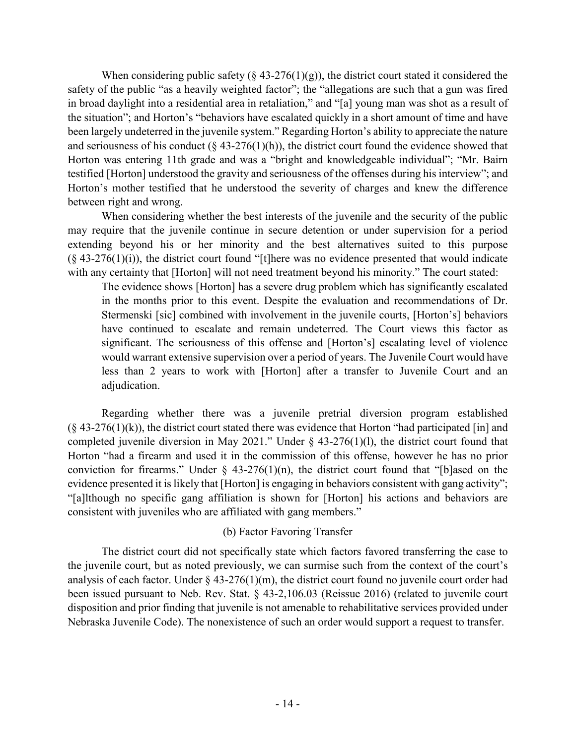When considering public safety (§ 43-276(1)(g)), the district court stated it considered the safety of the public "as a heavily weighted factor"; the "allegations are such that a gun was fired in broad daylight into a residential area in retaliation," and "[a] young man was shot as a result of the situation"; and Horton's "behaviors have escalated quickly in a short amount of time and have been largely undeterred in the juvenile system." Regarding Horton's ability to appreciate the nature and seriousness of his conduct ( $\S$  43-276(1)(h)), the district court found the evidence showed that Horton was entering 11th grade and was a "bright and knowledgeable individual"; "Mr. Bairn testified [Horton] understood the gravity and seriousness of the offenses during his interview"; and Horton's mother testified that he understood the severity of charges and knew the difference between right and wrong.

When considering whether the best interests of the juvenile and the security of the public may require that the juvenile continue in secure detention or under supervision for a period extending beyond his or her minority and the best alternatives suited to this purpose  $(\S 43-276(1)(i))$ , the district court found "[t]here was no evidence presented that would indicate with any certainty that [Horton] will not need treatment beyond his minority." The court stated:

The evidence shows [Horton] has a severe drug problem which has significantly escalated in the months prior to this event. Despite the evaluation and recommendations of Dr. Stermenski [sic] combined with involvement in the juvenile courts, [Horton's] behaviors have continued to escalate and remain undeterred. The Court views this factor as significant. The seriousness of this offense and [Horton's] escalating level of violence would warrant extensive supervision over a period of years. The Juvenile Court would have less than 2 years to work with [Horton] after a transfer to Juvenile Court and an adjudication.

Regarding whether there was a juvenile pretrial diversion program established  $(\S 43-276(1)(k))$ , the district court stated there was evidence that Horton "had participated [in] and completed juvenile diversion in May 2021." Under  $\S$  43-276(1)(1), the district court found that Horton "had a firearm and used it in the commission of this offense, however he has no prior conviction for firearms." Under  $\S$  43-276(1)(n), the district court found that "[b]ased on the evidence presented it is likely that [Horton] is engaging in behaviors consistent with gang activity"; "[a]lthough no specific gang affiliation is shown for [Horton] his actions and behaviors are consistent with juveniles who are affiliated with gang members."

# (b) Factor Favoring Transfer

The district court did not specifically state which factors favored transferring the case to the juvenile court, but as noted previously, we can surmise such from the context of the court's analysis of each factor. Under  $\S$  43-276(1)(m), the district court found no juvenile court order had been issued pursuant to Neb. Rev. Stat. § 43-2,106.03 (Reissue 2016) (related to juvenile court disposition and prior finding that juvenile is not amenable to rehabilitative services provided under Nebraska Juvenile Code). The nonexistence of such an order would support a request to transfer.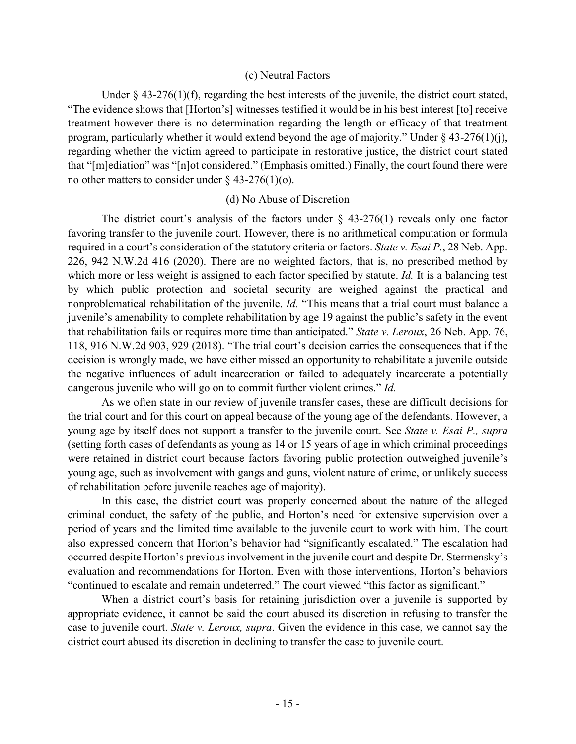#### (c) Neutral Factors

Under § 43-276(1)(f), regarding the best interests of the juvenile, the district court stated, "The evidence shows that [Horton's] witnesses testified it would be in his best interest [to] receive treatment however there is no determination regarding the length or efficacy of that treatment program, particularly whether it would extend beyond the age of majority." Under § 43-276(1)(j), regarding whether the victim agreed to participate in restorative justice, the district court stated that "[m]ediation" was "[n]ot considered." (Emphasis omitted.) Finally, the court found there were no other matters to consider under  $\S$  43-276(1)(o).

#### (d) No Abuse of Discretion

The district court's analysis of the factors under  $\S$  43-276(1) reveals only one factor favoring transfer to the juvenile court. However, there is no arithmetical computation or formula required in a court's consideration of the statutory criteria or factors. *State v. Esai P.*, 28 Neb. App. 226, 942 N.W.2d 416 (2020). There are no weighted factors, that is, no prescribed method by which more or less weight is assigned to each factor specified by statute. *Id.* It is a balancing test by which public protection and societal security are weighed against the practical and nonproblematical rehabilitation of the juvenile. *Id.* "This means that a trial court must balance a juvenile's amenability to complete rehabilitation by age 19 against the public's safety in the event that rehabilitation fails or requires more time than anticipated." *State v. Leroux*, 26 Neb. App. 76, 118, 916 N.W.2d 903, 929 (2018). "The trial court's decision carries the consequences that if the decision is wrongly made, we have either missed an opportunity to rehabilitate a juvenile outside the negative influences of adult incarceration or failed to adequately incarcerate a potentially dangerous juvenile who will go on to commit further violent crimes." *Id.*

As we often state in our review of juvenile transfer cases, these are difficult decisions for the trial court and for this court on appeal because of the young age of the defendants. However, a young age by itself does not support a transfer to the juvenile court. See *State v. Esai P., supra* (setting forth cases of defendants as young as 14 or 15 years of age in which criminal proceedings were retained in district court because factors favoring public protection outweighed juvenile's young age, such as involvement with gangs and guns, violent nature of crime, or unlikely success of rehabilitation before juvenile reaches age of majority).

In this case, the district court was properly concerned about the nature of the alleged criminal conduct, the safety of the public, and Horton's need for extensive supervision over a period of years and the limited time available to the juvenile court to work with him. The court also expressed concern that Horton's behavior had "significantly escalated." The escalation had occurred despite Horton's previous involvement in the juvenile court and despite Dr. Stermensky's evaluation and recommendations for Horton. Even with those interventions, Horton's behaviors "continued to escalate and remain undeterred." The court viewed "this factor as significant."

When a district court's basis for retaining jurisdiction over a juvenile is supported by appropriate evidence, it cannot be said the court abused its discretion in refusing to transfer the case to juvenile court. *State v. Leroux, supra*. Given the evidence in this case, we cannot say the district court abused its discretion in declining to transfer the case to juvenile court.